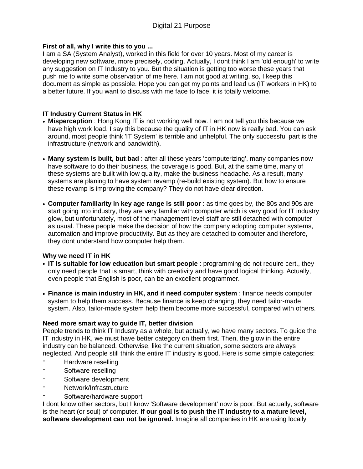### **First of all, why I write this to you ...**

I am a SA (System Analyst), worked in this field for over 10 years. Most of my career is developing new software, more precisely, coding. Actually, I dont think I am 'old enough' to write any suggestion on IT Industry to you. But the situation is getting too worse these years that push me to write some observation of me here. I am not good at writing, so, I keep this document as simple as possible. Hope you can get my points and lead us (IT workers in HK) to a better future. If you want to discuss with me face to face, it is totally welcome.

# **IT Industry Current Status in HK**

- **• Misperception** : Hong Kong IT is not working well now. I am not tell you this because we have high work load. I say this because the quality of IT in HK now is really bad. You can ask around, most people think 'IT System' is terrible and unhelpful. The only successful part is the infrastructure (network and bandwidth).
- **• Many system is built, but bad** : after all these years 'computerizing', many companies now have software to do their business, the coverage is good. But, at the same time, many of these systems are built with low quality, make the business headache. As a result, many systems are planing to have system revamp (re-build existing system). But how to ensure these revamp is improving the company? They do not have clear direction.
- **• Computer familiarity in key age range is still poor** : as time goes by, the 80s and 90s are start going into industry, they are very familiar with computer which is very good for IT industry glow, but unfortunately, most of the management level staff are still detached with computer as usual. These people make the decision of how the company adopting computer systems, automation and improve productivity. But as they are detached to computer and therefore, they dont understand how computer help them.

# **Why we need IT in HK**

- **• IT is suitable for low education but smart people** : programming do not require cert., they only need people that is smart, think with creativity and have good logical thinking. Actually, even people that English is poor, can be an excellent programmer.
- **• Finance is main industry in HK, and it need computer system** : finance needs computer system to help them success. Because finance is keep changing, they need tailor-made system. Also, tailor-made system help them become more successful, compared with others.

# **Need more smart way to guide IT, better division**

People trends to think IT Industry as a whole, but actually, we have many sectors. To guide the IT industry in HK, we must have better category on them first. Then, the glow in the entire industry can be balanced. Otherwise, like the current situation, some sectors are always neglected. And people still think the entire IT industry is good. Here is some simple categories:

- Hardware reselling
- Software reselling
- Software development
- Network/Infrastructure
- Software/hardware support

I dont know other sectors, but I know 'Software development' now is poor. But actually, software is the heart (or soul) of computer. **If our goal is to push the IT industry to a mature level, software development can not be ignored.** Imagine all companies in HK are using locally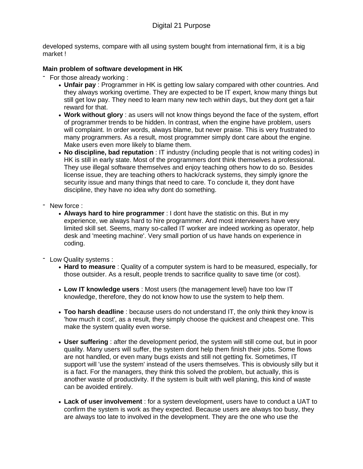developed systems, compare with all using system bought from international firm, it is a big market !

# **Main problem of software development in HK**

- For those already working :
	- **• Unfair pay** : Programmer in HK is getting low salary compared with other countries. And they always working overtime. They are expected to be IT expert, know many things but still get low pay. They need to learn many new tech within days, but they dont get a fair reward for that.
	- **• Work without glory** : as users will not know things beyond the face of the system, effort of programmer trends to be hidden. In contrast, when the engine have problem, users will complaint. In order words, always blame, but never praise. This is very frustrated to many programmers. As a result, most programmer simply dont care about the engine. Make users even more likely to blame them.
	- **• No discipline, bad reputation** : IT industry (including people that is not writing codes) in HK is still in early state. Most of the programmers dont think themselves a professional. They use illegal software themselves and enjoy teaching others how to do so. Besides license issue, they are teaching others to hack/crack systems, they simply ignore the security issue and many things that need to care. To conclude it, they dont have discipline, they have no idea why dont do something.
- New force :
	- **• Always hard to hire programmer** : I dont have the statistic on this. But in my experience, we always hard to hire programmer. And most interviewers have very limited skill set. Seems, many so-called IT worker are indeed working as operator, help desk and 'meeting machine'. Very small portion of us have hands on experience in coding.
- Low Quality systems :
	- **• Hard to measure** : Quality of a computer system is hard to be measured, especially, for those outsider. As a result, people trends to sacrifice quality to save time (or cost).
	- **• Low IT knowledge users** : Most users (the management level) have too low IT knowledge, therefore, they do not know how to use the system to help them.
	- **• Too harsh deadline** : because users do not understand IT, the only think they know is 'how much it cost', as a result, they simply choose the quickest and cheapest one. This make the system quality even worse.
	- **• User suffering** : after the development period, the system will still come out, but in poor quality. Many users will suffer, the system dont help them finish their jobs. Some flows are not handled, or even many bugs exists and still not getting fix. Sometimes, IT support will 'use the system' instead of the users themselves. This is obviously silly but it is a fact. For the managers, they think this solved the problem, but actually, this is another waste of productivity. If the system is built with well planing, this kind of waste can be avoided entirely.
	- **• Lack of user involvement** : for a system development, users have to conduct a UAT to confirm the system is work as they expected. Because users are always too busy, they are always too late to involved in the development. They are the one who use the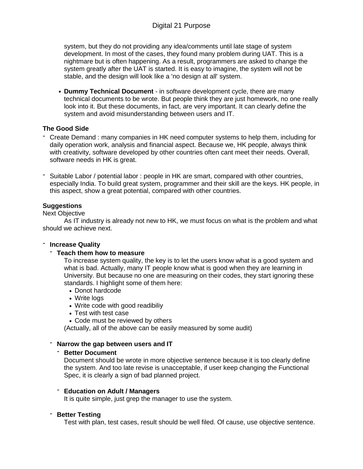system, but they do not providing any idea/comments until late stage of system development. In most of the cases, they found many problem during UAT. This is a nightmare but is often happening. As a result, programmers are asked to change the system greatly after the UAT is started. It is easy to imagine, the system will not be stable, and the design will look like a 'no design at all' system.

**• Dummy Technical Document** - in software development cycle, there are many technical documents to be wrote. But people think they are just homework, no one really look into it. But these documents, in fact, are very important. It can clearly define the system and avoid misunderstanding between users and IT.

# **The Good Side**

- Create Demand : many companies in HK need computer systems to help them, including for daily operation work, analysis and financial aspect. Because we, HK people, always think with creativity, software developed by other countries often cant meet their needs. Overall, software needs in HK is great.
- Suitable Labor / potential labor : people in HK are smart, compared with other countries, especially India. To build great system, programmer and their skill are the keys. HK people, in this aspect, show a great potential, compared with other countries.

# **Suggestions**

### Next Objective

As IT industry is already not new to HK, we must focus on what is the problem and what should we achieve next.

### - **Increase Quality**

### - **Teach them how to measure**

To increase system quality, the key is to let the users know what is a good system and what is bad. Actually, many IT people know what is good when they are learning in University. But because no one are measuring on their codes, they start ignoring these standards. I highlight some of them here:

- **•** Donot hardcode
- **•** Write logs
- **•** Write code with good readibiliy
- **•** Test with test case
- **•** Code must be reviewed by others

(Actually, all of the above can be easily measured by some audit)

### - **Narrow the gap between users and IT**

### - **Better Document**

Document should be wrote in more objective sentence because it is too clearly define the system. And too late revise is unacceptable, if user keep changing the Functional Spec, it is clearly a sign of bad planned project.

# - **Education on Adult / Managers**

It is quite simple, just grep the manager to use the system.

### - **Better Testing**

Test with plan, test cases, result should be well filed. Of cause, use objective sentence.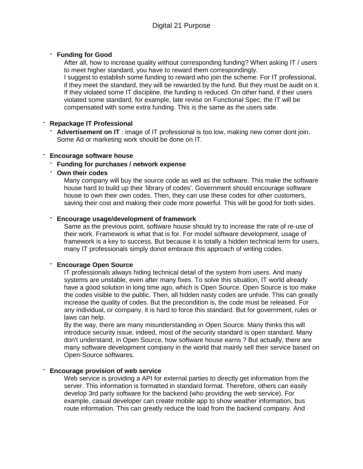# - **Funding for Good**

After all, how to increase quality without corresponding funding? When asking IT / users to meet higher standard, you have to reward them correspondingly. I suggest to establish some funding to reward who join the scheme. For IT professional, if they meet the standard, they will be rewarded by the fund. But they must be audit on it. If they violated some IT discipline, the funding is reduced. On other hand, if their users violated some standard, for example, late revise on Functional Spec, the IT will be compensated with some extra funding. This is the same as the users side.

# - **Repackage IT Professional**

- **Advertisement on IT** : image of IT professional is too low, making new comer dont join. Some Ad or marketing work should be done on IT.

# - **Encourage software house**

# - **Funding for purchases / network expense**

# - **Own their codes**

Many company will buy the source code as well as the software. This make the software house hard to build up their 'library of codes'. Government should encourage software house to own their own codes. Then, they can use these codes for other customers, saving their cost and making their code more powerful. This will be good for both sides.

# - **Encourage usage/development of framework**

Same as the previous point, software house should try to increase the rate of re-use of their work. Framework is what that is for. For model software development, usage of framework is a key to success. But because it is totally a hidden technical term for users, many IT professionals simply donot embrace this approach of writing codes.

### - **Encourage Open Source**

IT professionals always hiding technical detail of the system from users. And many systems are unstable, even after many fixes. To solve this situation, IT world already have a good solution in long time ago, which is Open Source. Open Source is too make the codes visible to the public. Then, all hidden nasty codes are unhide. This can greatly increase the quality of codes. But the precondition is, the code must be released. For any individual, or company, it is hard to force this standard. But for government, rules or laws can help.

By the way, there are many misunderstanding in Open Source. Many thinks this will introduce security issue, indeed, most of the security standard is open standard. Many don't understand, in Open Source, how software house earns ? But actually, there are many software development company in the world that mainly sell their service based on Open-Source softwares.

### - **Encourage provision of web service**

Web service is providing a API for external parties to directly get information from the server. This information is formatted in standard format. Therefore, others can easily develop 3rd party software for the backend (who providing the web service). For example, casual developer can create mobile app to show weather information, bus route information. This can greatly reduce the load from the backend company. And